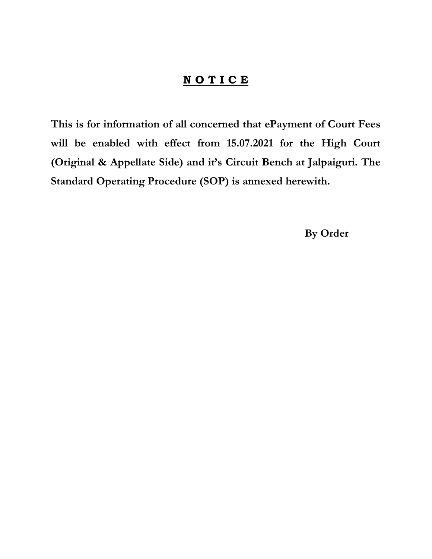## NOTICE

This is for information of all concerned that ePayment of Court Fees will be enabled with effect from 15.07.2021 for the High Court (Original & Appellate Side) and it's Circuit Bench at Jalpaiguri. The Standard Operating Procedure (SOP) is annexed herewith.

By Order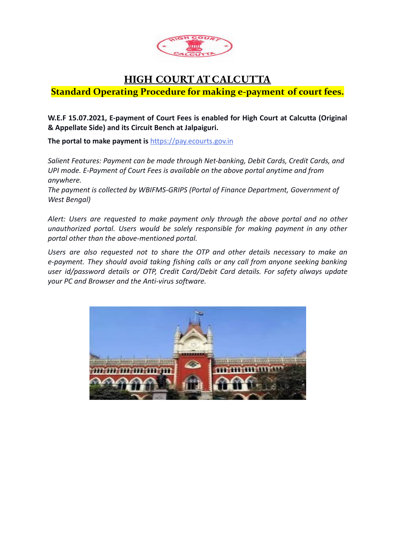

## **HIGH COURT AT CALCUTTA**

**Standard Operating Procedure for making e-payment of court fees.**

**W.E.F 15.07.2021, E-payment of Court Fees is enabled for High Court at Calcutta (Original & Appellate Side) and its Circuit Bench at Jalpaiguri.**

**The portal to make payment is** [https://pay.ecourts.gov.in](https://pay.ecourts.gov.in/)

*Salient Features: Payment can be made through Net-banking, Debit Cards, Credit Cards, and UPI mode. E-Payment of Court Fees is available on the above portal anytime and from anywhere.*

*The payment is collected by WBIFMS-GRIPS (Portal of Finance Department, Government of West Bengal)*

*Alert: Users are requested to make payment only through the above portal and no other unauthorized portal. Users would be solely responsible for making payment in any other portal other than the above-mentioned portal.*

*Users are also requested not to share the OTP and other details necessary to make an e-payment. They should avoid taking fishing calls or any call from anyone seeking banking user id/password details or OTP, Credit Card/Debit Card details. For safety always update your PC and Browser and the Anti-virus software.*

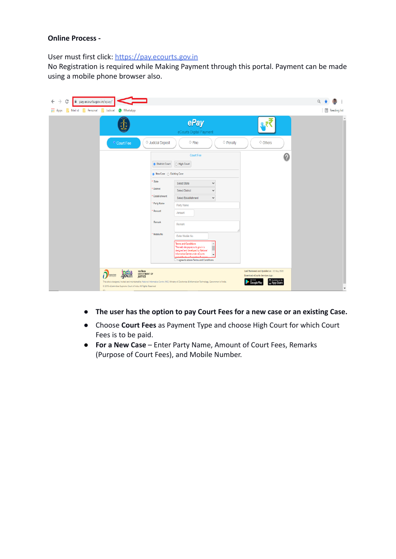## **Online Process -**

User must first click: [https://pay.ecourts.gov.in](https://pay.ecourts.gov.in/)

No Registration is required while Making Payment through this portal. Payment can be made using a mobile phone browser also.

| C<br>$\overline{\leftarrow}$<br>nay.ecourts.gov.in/epay/<br><b>III</b> Apps<br>Mail id<br><b>Personal</b> Judicial<br>WhatsApp  |                                                                                                                                                                                                                                                                                                                                                                                                                                                                                                                                                                            | $Q +$<br><b>E</b> Reading list                                                             |
|---------------------------------------------------------------------------------------------------------------------------------|----------------------------------------------------------------------------------------------------------------------------------------------------------------------------------------------------------------------------------------------------------------------------------------------------------------------------------------------------------------------------------------------------------------------------------------------------------------------------------------------------------------------------------------------------------------------------|--------------------------------------------------------------------------------------------|
| T                                                                                                                               | ePay<br>eCourts Digital Payment                                                                                                                                                                                                                                                                                                                                                                                                                                                                                                                                            | $\Delta$<br>i.                                                                             |
| <sup>o</sup> Court Fee                                                                                                          | O Judicial Deposit<br>$\circ$ Fine<br>$\circ$ Penalty                                                                                                                                                                                                                                                                                                                                                                                                                                                                                                                      | O Others                                                                                   |
|                                                                                                                                 | <b>Court Fee</b><br><b>O</b> District Court<br>O High Court<br>* State<br>Select State<br>$\checkmark$<br>District<br><b>Select District</b><br>$\checkmark$<br><b>Establishment</b><br>Select Establishment<br>$\checkmark$<br>* Party Name<br>Party Name<br>Amount<br>Amount<br>Remark<br>Remark<br>Mobile No<br>Enter Mobile No<br><b>Terms and Conditions</b><br>The web site pay ecourts gov.in is<br>designed and developed by National<br>Informatics Centre under eCourts<br>$\mathbf{v}$<br>المنافر والمعادلة ووا<br>$\Box$ I agree to above Terms and Conditions | 0                                                                                          |
| india<br>.gov.in<br>D<br>Digital India<br><b>JUSTICE</b><br>@ 2018 eCommittee Supreme Court of India. All Rights Reserved<br>01 | न्याय विभाग<br>DEPARTMENT OF<br>This site is designed, hosted and maintained by National Informatics Centre (NIC) Ministry of Electronics & Information Technology, Government of India.<br>Google Pla                                                                                                                                                                                                                                                                                                                                                                     | Last Reviewed and Updated on : 02 May 2020<br>Download eCourts Services App :<br>App Store |

- **The user has the option to pay Court Fees for a new case or an existing Case.**
- **●** Choose **Court Fees** as Payment Type and choose High Court for which Court Fees is to be paid.
- **For a New Case** Enter Party Name, Amount of Court Fees, Remarks (Purpose of Court Fees), and Mobile Number.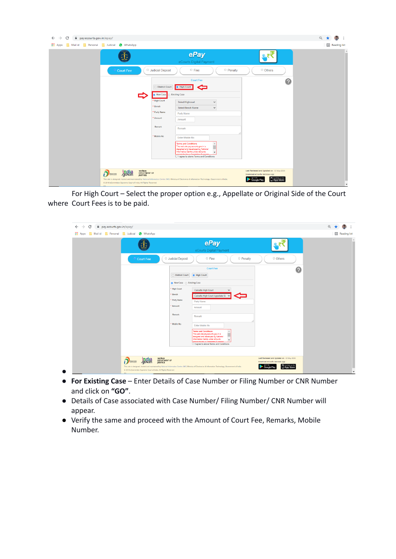| Judicial<br><b>O</b> WhatsApp |                                                                                                                                                                                                                                                                                                                                                                                                                                                                                                                                                                    |              | Reading list  |
|-------------------------------|--------------------------------------------------------------------------------------------------------------------------------------------------------------------------------------------------------------------------------------------------------------------------------------------------------------------------------------------------------------------------------------------------------------------------------------------------------------------------------------------------------------------------------------------------------------------|--------------|---------------|
|                               | ePay<br>eCourts Digital Payment                                                                                                                                                                                                                                                                                                                                                                                                                                                                                                                                    |              | $\Delta$<br>m |
| <sup>o</sup> Court Fee        | O Judicial Deposit<br>$\circ$ Penalty<br>$\circ$ Fine                                                                                                                                                                                                                                                                                                                                                                                                                                                                                                              | O Others     |               |
|                               | <b>Court Fee</b><br>O District Court<br><b>B</b> High Court<br>Œ<br><b>Existing Case</b><br>New Case<br>High Court<br>Select Highcourt<br>$\checkmark$<br>Bench<br>Select Bench Name<br>$\checkmark$<br>* Party Name<br>Party Name<br>Amount<br>Amount<br>Remark<br>Remark<br>Mobile No<br>Enter Mobile No<br><b>Terms and Conditions</b><br>The web site pay ecourts gov.in is<br>designed and developed by National<br>Informatics Centre under eCourts<br>$\overline{\phantom{a}}$<br>anisation that a Committee Super<br>I agree to above Terms and Conditions | $\mathbf{Q}$ |               |

For High Court – Select the proper option e.g., Appellate or Original Side of the Court where Court Fees is to be paid.

| ⊕ٍ                                     | ePay<br>eCourts Digital Payment                                                                                                                                                                                                                                                                                                                                                                            |   |
|----------------------------------------|------------------------------------------------------------------------------------------------------------------------------------------------------------------------------------------------------------------------------------------------------------------------------------------------------------------------------------------------------------------------------------------------------------|---|
| <sup>o</sup> Court Fee                 | O Judicial Deposit<br>$\circ$ Fine<br>O Penalty<br>O Others<br><b>Court Fee</b><br><b>O</b> High Court<br>O District Court<br>● New Case ○ Existing Case<br>* High Court<br>Calcutta High Court<br>$\checkmark$<br><b>Bench</b><br>Calcutta High Court Appellate Si v<br>* Party Name<br>Party Name<br>Amount<br>Amount<br>Remark<br>Remark<br>Mobile No<br>Enter Mobile No<br><b>Terms and Conditions</b> | 0 |
| india<br>.gov.in<br>ð<br>Digital India | The web site pay ecourts gov.in is<br>designed and developed by National<br>Informatics Centre under eCourts<br>متألف منطقة ممتنع<br>□ I agree to above Terms and Conditions<br>न्याय विभाग<br>DEPARTMENT OF<br>Last Reviewed and Updated on : 02 May 2020                                                                                                                                                 |   |

- **For Existing Case** Enter Details of Case Number or Filing Number or CNR Number and click on **"GO"**.
- Details of Case associated with Case Number/ Filing Number/ CNR Number will appear.
- Verify the same and proceed with the Amount of Court Fee, Remarks, Mobile Number.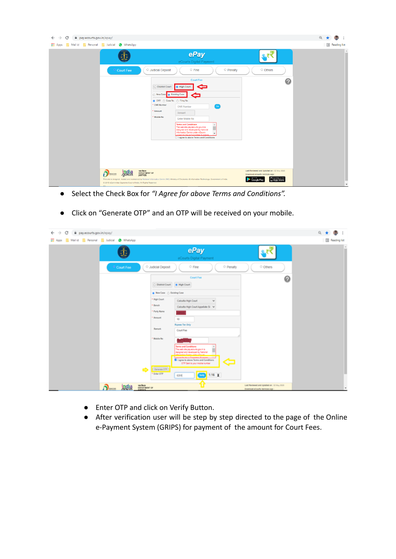| <b>III</b> Apps<br>Mail id<br>Personal<br><b>Judicial</b><br>WhatsApp<br>ePay<br>eCourts Digital Payment<br>O Judicial Deposit<br>O Penalty<br>O Others<br>$\circ$ Fine<br><sup>o</sup> Court Fee<br><b>Court Fee</b><br>$\bullet$<br>c<br>O District Court<br>· High Court<br>O New Case   @ Existing Case<br>-<br>● CNR ○ Case No. ○ Filing No.<br>CNR Number<br>Go<br><b>CNR Number</b><br>Amount<br>Amount<br>Mobile No.<br>Enter Mobile No<br><b>Terms and Conditions</b><br>The web site pay ecourts gov.in is<br>designed and developed by National |                               |
|------------------------------------------------------------------------------------------------------------------------------------------------------------------------------------------------------------------------------------------------------------------------------------------------------------------------------------------------------------------------------------------------------------------------------------------------------------------------------------------------------------------------------------------------------------|-------------------------------|
|                                                                                                                                                                                                                                                                                                                                                                                                                                                                                                                                                            | Reading list<br>$\Delta$<br>ш |
| Informatics Centre under eCourts<br>$\overline{\phantom{a}}$<br>croject for the e-Committee Sunrem<br>I agree to above Terms and Conditions<br>न्याय विभाग<br>Last Reviewed and Updated on : 02 May 2020<br>india<br>.gov.in<br>ก<br>DEPARTMENT OF<br>Dipital India<br>Download eCourts Services App :<br><b>JUSTICE</b><br>App Store                                                                                                                                                                                                                      |                               |

- Select the Check Box for *"I Agree for above Terms and Conditions".*
- Click on "Generate OTP" and an OTP will be received on your mobile.

| $\leftarrow$ $\rightarrow$<br>C<br>@ pay.ecourts.gov.in/epay/                           |                                                                                                                                                                                                                                                                                                                                                                                                                                                                                                                                   |                                                                             | 0. ★                  |
|-----------------------------------------------------------------------------------------|-----------------------------------------------------------------------------------------------------------------------------------------------------------------------------------------------------------------------------------------------------------------------------------------------------------------------------------------------------------------------------------------------------------------------------------------------------------------------------------------------------------------------------------|-----------------------------------------------------------------------------|-----------------------|
| <b>EE</b> Apps <b>EE</b> Mailid <b>EE</b> Personal <b>EE</b> Judicial <b>@</b> WhatsApp |                                                                                                                                                                                                                                                                                                                                                                                                                                                                                                                                   |                                                                             | <b>B</b> Reading list |
| Ť                                                                                       | ePay<br>eCourts Digital Payment                                                                                                                                                                                                                                                                                                                                                                                                                                                                                                   | ц₹                                                                          | $\alpha$<br>m         |
| <sup>o</sup> Court Fee                                                                  | O Judicial Deposit<br>O Fine<br>O Penalty                                                                                                                                                                                                                                                                                                                                                                                                                                                                                         | O Others                                                                    |                       |
| $\sim$                                                                                  | Court Fee<br>O District Court # High Court<br><b>Brefase</b> C Existing Case<br>* High-Court<br>Calculta High Court<br>$\mathcal{L}$<br>* Bench<br>Calculta High Court Appellate Si v<br>* Party Name<br>Amount<br>10<br>Rupees Ten Only<br>Renark<br>Court Fee<br>Mobile No<br>Terms and Conditions<br>The web site pay ecourts govin is<br>designed and developed by National<br><b>Q</b> Tagree to above Terms and Conditions<br>ਵ<br>CTP Sent to your mobile number<br>(Genevas OTP.)<br>* Enter OTP<br>1:16 X<br>way<br>0201 | 0                                                                           |                       |
| system<br>conservative or<br>പെ<br>india<br>orbit                                       |                                                                                                                                                                                                                                                                                                                                                                                                                                                                                                                                   | Last Reviewed and updated on : 03 May 2020<br>Download eCourts Services App |                       |

- Enter OTP and click on Verify Button.
- After verification user will be step by step directed to the page of the Online e-Payment System (GRIPS) for payment of the amount for Court Fees.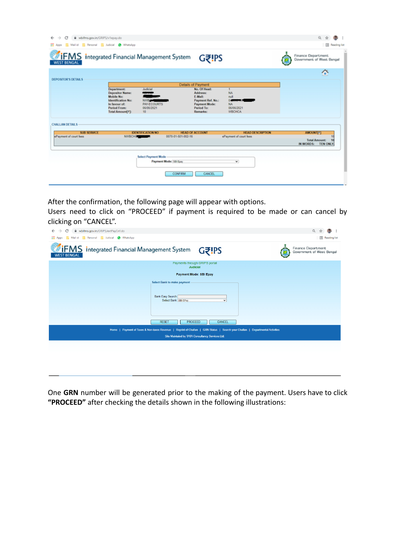| $\leftarrow$ $\rightarrow$<br>G<br>wbifms.gov.in/GRIPS/v1epay.do          |                                                                           |                                                      |                       |                                                                        |                                                   | $Q$ $Q$                                           |
|---------------------------------------------------------------------------|---------------------------------------------------------------------------|------------------------------------------------------|-----------------------|------------------------------------------------------------------------|---------------------------------------------------|---------------------------------------------------|
| Mail id Resonal Ludicial @ WhatsApp<br><b>III</b> Apps                    |                                                                           |                                                      |                       |                                                                        |                                                   | <b>III</b> Reading list                           |
| <b>TIFMS</b> Integrated Financial Management System<br><b>WEST BENGAL</b> |                                                                           |                                                      |                       | <b>Gき!PS</b>                                                           |                                                   | Finance Department<br>Government of West Bengal   |
| <b>DEPOSITOR'S DETAILS</b>                                                |                                                                           |                                                      |                       |                                                                        |                                                   | G                                                 |
|                                                                           |                                                                           |                                                      |                       | Details of Payment                                                     |                                                   |                                                   |
|                                                                           | Department:<br><b>Depositor Name:</b><br>Mobile No:<br>Identification No: | Judicial<br>--<br><b>NWRAHA</b>                      |                       | No. Of Head:<br><b>Address:</b><br><b>E-Mail:</b><br>Payment Ref. No.: | NA<br>red<br>0.000                                |                                                   |
|                                                                           | In favour of:<br><b>Period From:</b><br>Total Amount[?]:                  | <b>PAY-ECOURTS</b><br>06/06/2021<br>10 <sub>10</sub> |                       | <b>Payment Mode:</b><br>Period To:<br>Remarks:                         | NA<br>06/06/2021<br><b>WBCHCA</b>                 |                                                   |
| <b>CHALLAN DETAILS</b>                                                    |                                                                           |                                                      |                       |                                                                        |                                                   |                                                   |
| <b>SUB SERVICE</b>                                                        |                                                                           | <b>IDENTIFICATION NO</b>                             | 0070-01-501-002-16    | <b>HEAD OF ACCOUNT</b>                                                 | <b>HEAD DESCRIPTION</b><br>ePayment of court fees | <b>AMOUNT[7]</b><br>10                            |
| ePayment of court fees                                                    | NWBCHO, MARINE                                                            |                                                      |                       |                                                                        |                                                   | <b>Total Amount:</b><br>10<br>IN WORDS: TEN ONLY. |
|                                                                           |                                                                           | <b>Select Payment Mode</b>                           | Payment Mode: 58 Epay |                                                                        | $\check{~}$                                       |                                                   |
|                                                                           |                                                                           |                                                      |                       |                                                                        |                                                   |                                                   |
|                                                                           |                                                                           |                                                      | <b>CONFIRM</b>        | CANCEL                                                                 |                                                   |                                                   |
|                                                                           |                                                                           |                                                      |                       |                                                                        |                                                   |                                                   |

After the confirmation, the following page will appear with options.

Users need to click on "PROCEED" if payment is required to be made or can cancel by clicking on "CANCEL".

| C<br>wbifms.gov.in/GRIPS/extPayCnf.do<br>$\rightarrow$<br>$\leftarrow$                                                        |                                           | ◎ ☆                                                    |
|-------------------------------------------------------------------------------------------------------------------------------|-------------------------------------------|--------------------------------------------------------|
| <b>III</b> Apps<br>Mail id Rersonal Judicial O WhatsApp                                                                       |                                           | <b>E</b> Reading list                                  |
| <b>IFMS</b> Integrated Financial Management System<br><b>WEST BENGAL</b>                                                      | <b>Gき!PS</b>                              | <b>Finance Department</b><br>Government of West Bengal |
|                                                                                                                               | Payments through GRIPS portal<br>Judicial |                                                        |
|                                                                                                                               | Payment Mode: SBI Epay                    |                                                        |
| Select Bank to make payment<br>Bank Easy Search:<br>Select Bank: SBI EPay                                                     | $\checkmark$                              |                                                        |
| <b>RESET</b><br><b>PROCEED</b>                                                                                                | CANCEL                                    |                                                        |
| Home   Payment of Taxes & Non-taxes Revenue   Reprint of Challan   GRN Status   Search your Challan   Departmental Activities |                                           |                                                        |
| Site Maintaied by TATA Consultancy Services Ltd.                                                                              |                                           |                                                        |
|                                                                                                                               |                                           |                                                        |
|                                                                                                                               |                                           |                                                        |

One **GRN** number will be generated prior to the making of the payment. Users have to click **"PROCEED"** after checking the details shown in the following illustrations: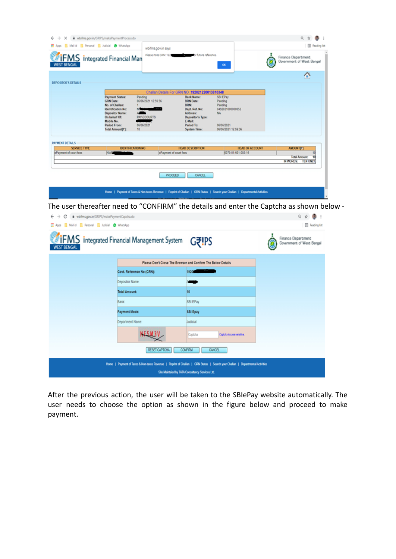| $\leftarrow$ $\rightarrow$<br>×                   | # wbifms.gov.in/GRIPS/makePaymentProcess.do                                                                                                                                                              |                                                         |                                                                                                                                                  |                                                                                                                               | $Q$ $Q$                                                                       |
|---------------------------------------------------|----------------------------------------------------------------------------------------------------------------------------------------------------------------------------------------------------------|---------------------------------------------------------|--------------------------------------------------------------------------------------------------------------------------------------------------|-------------------------------------------------------------------------------------------------------------------------------|-------------------------------------------------------------------------------|
| H Apps   Mail of   Personal   Judicial @ WhatsApp |                                                                                                                                                                                                          | wbifms.gov.in says                                      |                                                                                                                                                  |                                                                                                                               | <b>III</b> Reading list                                                       |
| <b>WEST BENGAL</b>                                | <b>IFMS</b> Integrated Financial Man                                                                                                                                                                     | Please note GRN: 192                                    | <b>The Company's future reference.</b>                                                                                                           | $\alpha$                                                                                                                      | <b>Finance Department</b><br>Government of West Bengal                        |
| <b>DEPOSITOR'S DETAILS</b>                        |                                                                                                                                                                                                          |                                                         |                                                                                                                                                  |                                                                                                                               | 合                                                                             |
|                                                   |                                                                                                                                                                                                          |                                                         | Challan Details For GRN NO. 192021220013810348                                                                                                   |                                                                                                                               |                                                                               |
|                                                   | <b>Payment Status:</b><br>Pending<br><b>GRN Date:</b><br>No. of Challan:<br>Identification No:<br><b>Depositor Name:</b><br>On behalf Of:<br>Mobile No.<br><b>Period From:</b><br>10<br>Total Amount[?]: | 06/06/2021 12:59:36<br><b>PAY-ECOURTS</b><br>06/06/2021 | <b>Bank Name:</b><br><b>BRN Date:</b><br>BRN:<br>Dept. Ref. No:<br>Address:<br>Depositor's Type:<br>E-Mail:<br>Period To:<br><b>System Time:</b> | SBI EPay<br>Pending<br>Pending<br>0492021000000052<br>NA.<br>05/05/2021<br>06/06/2021 12:59:36                                |                                                                               |
| <b>PAYMENT DETAILS</b><br><b>SERWCE TYPE</b>      | <b>IDENTIFICATION NO</b>                                                                                                                                                                                 |                                                         | <b>HEAD DESCRIPTION</b>                                                                                                                          | <b>HEAD OF ACCOUNT</b>                                                                                                        | <b>AMOUNT[?]</b>                                                              |
| ePayment of court fees                            | <b>NWS</b>                                                                                                                                                                                               | ePayment of court fees                                  |                                                                                                                                                  | 0070-01-501-002-16                                                                                                            | 10<br>$\overline{10}$<br><b>Total Amount:</b><br>IN WORDS:<br><b>TEN ONLY</b> |
|                                                   |                                                                                                                                                                                                          | PROCEED                                                 | <b>CANCEL</b>                                                                                                                                    |                                                                                                                               |                                                                               |
|                                                   |                                                                                                                                                                                                          | the contract of the materials and the                   |                                                                                                                                                  | Home   Payment of Taxes & Non-taxes Revenue   Reprint of Challan   GRN Status   Search your Challan   Departmental Activities |                                                                               |

The user thereafter need to "CONFIRM" the details and enter the Captcha as shown below -

| wbifms.gov.in/GRIPS/makePaymentCapcha.do<br>c<br>$\rightarrow$<br>← |                                                    |                                                                                                                                                                                   | Q ☆ ●                                           |
|---------------------------------------------------------------------|----------------------------------------------------|-----------------------------------------------------------------------------------------------------------------------------------------------------------------------------------|-------------------------------------------------|
| Apps Maild Resonal Judicial @ WhatsApp                              |                                                    |                                                                                                                                                                                   | <b>B</b> Reading list                           |
| <b>WEST BENGAL</b>                                                  | <b>IFMS</b> Integrated Financial Management System | G₹!PS                                                                                                                                                                             | Finance Department<br>Government of West Bengal |
|                                                                     |                                                    | Please Don't Close The Browser and Confirm The Below Details                                                                                                                      |                                                 |
|                                                                     | Govt. Reference No (GRN):                          | 1920 - 1930 - 1940 - 1940 - 1940 - 1940 - 1940 - 1940 - 1940 - 1940 - 1940 - 1940 - 1940 - 1940 - 1940 - 1940                                                                     |                                                 |
|                                                                     | Depositor Name:                                    |                                                                                                                                                                                   |                                                 |
|                                                                     | <b>Total Amount:</b>                               | 10                                                                                                                                                                                |                                                 |
|                                                                     | Bank                                               | SBI EPay                                                                                                                                                                          |                                                 |
|                                                                     | Payment Mode:                                      | SBI Epay                                                                                                                                                                          |                                                 |
|                                                                     | Department Name:                                   | Judicial                                                                                                                                                                          |                                                 |
|                                                                     |                                                    | Captcha<br>Captcha is case sensitive.                                                                                                                                             |                                                 |
|                                                                     | RESET CAPTCHA                                      | <b>CONFIRM</b><br><b>CANCEL</b>                                                                                                                                                   |                                                 |
|                                                                     |                                                    | Home   Payment of Taxes & Non-taxes Revenue   Reprint of Challan   GRN Status   Search your Challan   Departmental Activities<br>Site Maintaied by TATA Consultancy Services Ltd. |                                                 |

After the previous action, the user will be taken to the SBIePay website automatically. The user needs to choose the option as shown in the figure below and proceed to make payment.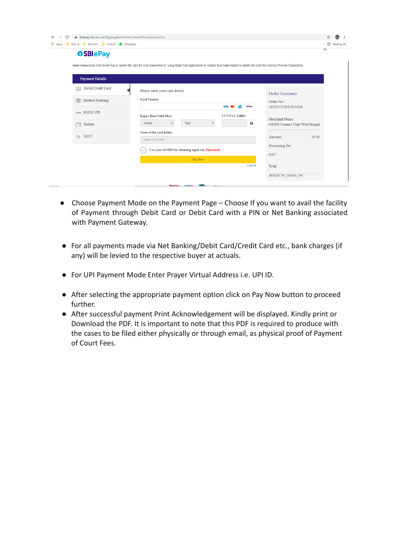| $\leftarrow$<br>C | biepay.sbi/secure/AggregatorHostedListener#no-back-button                                                                                                                                    |                                |                                                  |               |                   |                                |                        |
|-------------------|----------------------------------------------------------------------------------------------------------------------------------------------------------------------------------------------|--------------------------------|--------------------------------------------------|---------------|-------------------|--------------------------------|------------------------|
| <b>III</b> Apps   | Mail id Personal Judicial O WhatsApp                                                                                                                                                         |                                |                                                  |               |                   |                                | <b>El</b> Reading list |
|                   | <b>OSBIePay</b>                                                                                                                                                                              |                                |                                                  |               |                   |                                | <b>S</b>               |
|                   | ional) transactions Card holder has to enable the card for such transaction by using Bank/Card application or contact their bank/branch to enable the Card for Card not Present Transaction. |                                |                                                  |               |                   |                                |                        |
|                   |                                                                                                                                                                                              |                                |                                                  |               |                   |                                |                        |
|                   | <b>Payment Details</b>                                                                                                                                                                       |                                |                                                  |               |                   |                                |                        |
|                   | Debit/Credit Card<br>$\frac{m}{m}$                                                                                                                                                           | Please enter your card details |                                                  |               |                   | Order Summary                  |                        |
|                   | 雷<br>Internet Banking                                                                                                                                                                        | Card Number                    |                                                  |               |                   | Order No ·                     |                        |
|                   |                                                                                                                                                                                              |                                |                                                  | <b>VISA</b>   | <b>RuPays</b>     | 192021220013810348             |                        |
|                   | $\mathsf{L}\mathsf{P}\mathsf{B}$ BHIM UPI                                                                                                                                                    | Expiry Date/Valid Thru         |                                                  | CVV/CVC 4-DBC |                   | Merchant Name:                 |                        |
|                   | ┌<br>Wallets                                                                                                                                                                                 | Month<br>$\checkmark$          | Year<br>$\checkmark$                             |               | $\mathbf{\Theta}$ | GRIPS Finance Dept West Bengal |                        |
|                   |                                                                                                                                                                                              | Name of the card holder        |                                                  |               |                   |                                |                        |
|                   | g NEFT                                                                                                                                                                                       | Name as on card                |                                                  |               |                   | 10.00<br>Amount:               |                        |
|                   |                                                                                                                                                                                              |                                | Use your GSTIN for claiming input tax (Optional) |               |                   | Processing fee:                |                        |
|                   |                                                                                                                                                                                              |                                |                                                  |               |                   | GST:                           |                        |
|                   |                                                                                                                                                                                              |                                | Pay Now                                          |               |                   |                                |                        |
|                   |                                                                                                                                                                                              |                                |                                                  |               | Cancel            | Total <sup>-</sup>             |                        |
|                   |                                                                                                                                                                                              |                                |                                                  |               |                   | APM ID: PG TRANS 396           |                        |
|                   |                                                                                                                                                                                              |                                | <b>REGISTERED BELLEVILLE</b>                     |               |                   |                                |                        |

- Choose Payment Mode on the Payment Page Choose If you want to avail the facility of Payment through Debit Card or Debit Card with a PIN or Net Banking associated with Payment Gateway.
- For all payments made via Net Banking/Debit Card/Credit Card etc., bank charges (if any) will be levied to the respective buyer at actuals.
- For UPI Payment Mode Enter Prayer Virtual Address i.e. UPI ID.
- After selecting the appropriate payment option click on Pay Now button to proceed further.
- After successful payment Print Acknowledgement will be displayed. Kindly print or Download the PDF. It is important to note that this PDF is required to produce with the cases to be filed either physically or through email, as physical proof of Payment of Court Fees.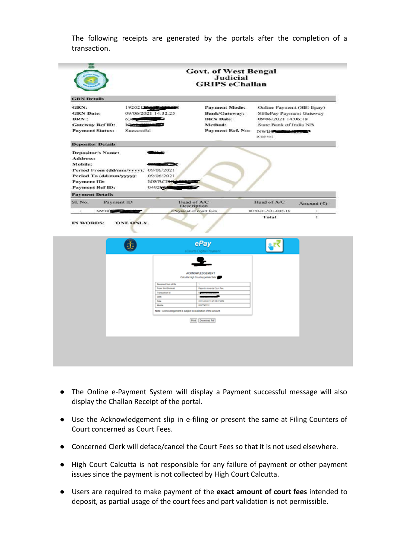The following receipts are generated by the portals after the completion of a transaction.

|                                                                                                                                                      |                                                                                             | <b>Govt. of West Bengal</b><br><b>Judicial</b><br><b>GRIPS</b> eChallan                                                                                                                                                                                      |                                                                                                                                     |                                    |
|------------------------------------------------------------------------------------------------------------------------------------------------------|---------------------------------------------------------------------------------------------|--------------------------------------------------------------------------------------------------------------------------------------------------------------------------------------------------------------------------------------------------------------|-------------------------------------------------------------------------------------------------------------------------------------|------------------------------------|
| <b>GRN</b> Details                                                                                                                                   |                                                                                             |                                                                                                                                                                                                                                                              |                                                                                                                                     |                                    |
| GRN:<br><b>GRN</b> Date:<br><b>BRN:</b><br><b>Gateway Ref ID:</b><br><b>Payment Status:</b>                                                          | 192021202000<br>09/06/2021 14:32:25<br>636.9<br>1000000<br>Successful                       | <b>Payment Mode:</b><br><b>Bank/Gateway:</b><br><b>BRN</b> Date:<br>Method:<br><b>Payment Ref. No:</b>                                                                                                                                                       | Online Payment (SBI Epay)<br>SBIePay Payment Gateway<br>09/06/2021 14:06:18<br>State Bank of India NB<br>NWBC 20000000<br>[Case No] |                                    |
| <b>Depositor Details</b>                                                                                                                             |                                                                                             |                                                                                                                                                                                                                                                              |                                                                                                                                     |                                    |
| <b>Depositor's Name:</b><br>Address:<br>Mobile:<br>Period To (dd/mm/yyyy):<br><b>Payment ID:</b><br><b>Payment Ref ID:</b><br><b>Payment Details</b> | Period From (dd/mm/yyyy): 09/06/2021<br>09/06/2021<br><b>NWBCITE</b><br>04920200            | <b>CONTRACTOR</b>                                                                                                                                                                                                                                            |                                                                                                                                     |                                    |
| SI. No.                                                                                                                                              | Payment ID                                                                                  | Head of A/C                                                                                                                                                                                                                                                  | Head of A/C                                                                                                                         | Amount $(\overline{\mathfrak{X}})$ |
|                                                                                                                                                      |                                                                                             | Description                                                                                                                                                                                                                                                  |                                                                                                                                     |                                    |
| $\mathbf 1$<br><b>NWBC</b>                                                                                                                           |                                                                                             | ePayment of court fees                                                                                                                                                                                                                                       | 0070-01-501-002-16<br>Total                                                                                                         | T.<br>r                            |
| IN WORDS:                                                                                                                                            | ONE ONLY.<br>杢                                                                              | ePay                                                                                                                                                                                                                                                         |                                                                                                                                     |                                    |
|                                                                                                                                                      | Received Sum of Rs.<br>From Shrifthrimuti<br>Transaction ld<br>GRN<br><b>Oute</b><br>Mobile | eCourts Digital Payment<br>ACKNOWLEDGEMENT<br>Calculfia High Court Appellate Side 1<br>Rajandra towards Court Fee<br>×<br>2021-05-08 13:47:08:074869<br>8807142033<br>Note: Acknowledgement is subject to realization of the amount.<br>Print   Doumload Pdf |                                                                                                                                     |                                    |
|                                                                                                                                                      |                                                                                             |                                                                                                                                                                                                                                                              |                                                                                                                                     |                                    |

- The Online e-Payment System will display a Payment successful message will also display the Challan Receipt of the portal.
- Use the Acknowledgement slip in e-filing or present the same at Filing Counters of Court concerned as Court Fees.
- Concerned Clerk will deface/cancel the Court Fees so that it is not used elsewhere.
- High Court Calcutta is not responsible for any failure of payment or other payment issues since the payment is not collected by High Court Calcutta.
- Users are required to make payment of the **exact amount of court fees** intended to deposit, as partial usage of the court fees and part validation is not permissible.